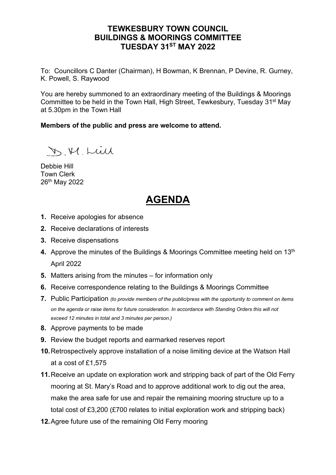## **TEWKESBURY TOWN COUNCIL BUILDINGS & MOORINGS COMMITTEE TUESDAY 31ST MAY 2022**

To: Councillors C Danter (Chairman), H Bowman, K Brennan, P Devine, R. Gurney, K. Powell, S. Raywood

You are hereby summoned to an extraordinary meeting of the Buildings & Moorings Committee to be held in the Town Hall, High Street, Tewkesbury, Tuesday 31st May at 5.30pm in the Town Hall

**Members of the public and press are welcome to attend.**

D.M. Luil

Debbie Hill Town Clerk 26th May 2022

## **AGENDA**

- **1.** Receive apologies for absence
- **2.** Receive declarations of interests
- **3.** Receive dispensations
- **4.** Approve the minutes of the Buildings & Moorings Committee meeting held on 13<sup>th</sup> April 2022
- **5.** Matters arising from the minutes for information only
- **6.** Receive correspondence relating to the Buildings & Moorings Committee
- **7.** Public Participation *(to provide members of the public/press with the opportunity to comment on items on the agenda or raise items for future consideration. In accordance with Standing Orders this will not exceed 12 minutes in total and 3 minutes per person.)*
- **8.** Approve payments to be made
- **9.** Review the budget reports and earmarked reserves report
- **10.**Retrospectively approve installation of a noise limiting device at the Watson Hall at a cost of £1,575
- **11.**Receive an update on exploration work and stripping back of part of the Old Ferry mooring at St. Mary's Road and to approve additional work to dig out the area, make the area safe for use and repair the remaining mooring structure up to a total cost of £3,200 (£700 relates to initial exploration work and stripping back)
- **12.**Agree future use of the remaining Old Ferry mooring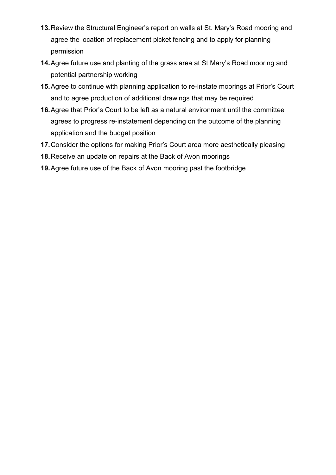- **13.**Review the Structural Engineer's report on walls at St. Mary's Road mooring and agree the location of replacement picket fencing and to apply for planning permission
- **14.**Agree future use and planting of the grass area at St Mary's Road mooring and potential partnership working
- **15.**Agree to continue with planning application to re-instate moorings at Prior's Court and to agree production of additional drawings that may be required
- **16.**Agree that Prior's Court to be left as a natural environment until the committee agrees to progress re-instatement depending on the outcome of the planning application and the budget position
- **17.**Consider the options for making Prior's Court area more aesthetically pleasing
- **18.**Receive an update on repairs at the Back of Avon moorings
- **19.**Agree future use of the Back of Avon mooring past the footbridge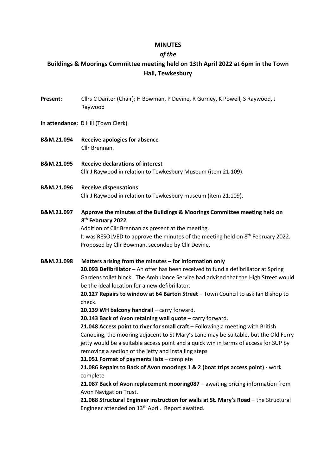### **MINUTES**

### *of the*

## **Buildings & Moorings Committee meeting held on 13th April 2022 at 6pm in the Town Hall, Tewkesbury**

- **Present:** Cllrs C Danter (Chair); H Bowman, P Devine, R Gurney, K Powell, S Raywood, J Raywood
- **In attendance:** D Hill (Town Clerk)
- **B&M.21.094 Receive apologies for absence** Cllr Brennan.
- **B&M.21.095 Receive declarations of interest** Cllr J Raywood in relation to Tewkesbury Museum (item 21.109).
- **B&M.21.096 Receive dispensations** Cllr J Raywood in relation to Tewkesbury museum (item 21.109).
- **B&M.21.097 Approve the minutes of the Buildings & Moorings Committee meeting held on 8th February 2022**

Addition of Cllr Brennan as present at the meeting. It was RESOLVED to approve the minutes of the meeting held on 8<sup>th</sup> February 2022. Proposed by Cllr Bowman, seconded by Cllr Devine.

**B&M.21.098 Matters arising from the minutes – for information only 20.093 Defibrillator –** An offer has been received to fund a defibrillator at Spring Gardens toilet block. The Ambulance Service had advised that the High Street would be the ideal location for a new defibrillator. **20.127 Repairs to window at 64 Barton Street** – Town Council to ask Ian Bishop to check.

**20.139 WH balcony handrail** – carry forward.

**20.143 Back of Avon retaining wall quote** – carry forward.

21.048 Access point to river for small craft - Following a meeting with British Canoeing, the mooring adjacent to St Mary's Lane may be suitable, but the Old Ferry jetty would be a suitable access point and a quick win in terms of access for SUP by removing a section of the jetty and installing steps

**21.051 Format of payments lists** – complete

**21.086 Repairs to Back of Avon moorings 1 & 2 (boat trips access point) -** work complete

**21.087 Back of Avon replacement mooring087** – awaiting pricing information from Avon Navigation Trust.

**21.088 Structural Engineer instruction for walls at St. Mary's Road** – the Structural Engineer attended on 13<sup>th</sup> April. Report awaited.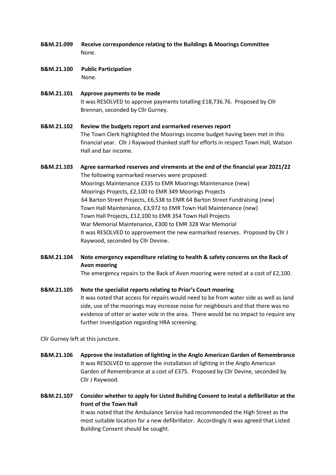- **B&M.21.099 Receive correspondence relating to the Buildings & Moorings Committee** None.
- **B&M.21.100 Public Participation** None.

**B&M.21.101 Approve payments to be made** It was RESOLVED to approve payments totalling £18,736.76. Proposed by Cllr Brennan, seconded by Cllr Gurney.

## **B&M.21.102 Review the budgets report and earmarked reserves report** The Town Clerk highlighted the Moorings income budget having been met in this financial year. Cllr J Raywood thanked staff for efforts in respect Town Hall, Watson Hall and bar income.

## **B&M.21.103 Agree earmarked reserves and virements at the end of the financial year 2021/22** The following earmarked reserves were proposed: Moorings Maintenance £335 to EMR Moorings Maintenance (new) Moorings Projects, £2,100 to EMR 349 Moorings Projects 64 Barton Street Projects, £6,538 to EMR 64 Barton Street Fundraising (new) Town Hall Maintenance, £3,972 to EMR Town Hall Maintenance (new) Town Hall Projects, £12,100 to EMR 354 Town Hall Projects War Memorial Maintenance, £300 to EMR 328 War Memorial It was RESOLVED to approvement the new earmarked reserves. Proposed by Cllr J Raywood, seconded by Cllr Devine.

**B&M.21.104 Note emergency expenditure relating to health & safety concerns on the Back of Avon mooring**

The emergency repairs to the Back of Avon mooring were noted at a cost of £2,100.

**B&M.21.105 Note the specialist reports relating to Prior's Court mooring**

It was noted that access for repairs would need to be from water side as well as land side, use of the moorings may increase noise for neighbours and that there was no evidence of otter or water vole in the area. There would be no impact to require any further investigation regarding HRA screening.

Cllr Gurney left at this juncture.

- **B&M.21.106 Approve the installation of lighting in the Anglo American Garden of Remembrance** It was RESOLVED to approve the installation of lighting in the Anglo American Garden of Remembrance at a cost of £375. Proposed by Cllr Devine, seconded by Cllr J Raywood.
- **B&M.21.107 Consider whether to apply for Listed Building Consent to instal a defibrillator at the front of the Town Hall** It was noted that the Ambulance Service had recommended the High Street as the most suitable location for a new defibrillator. Accordingly it was agreed that Listed Building Consent should be sought.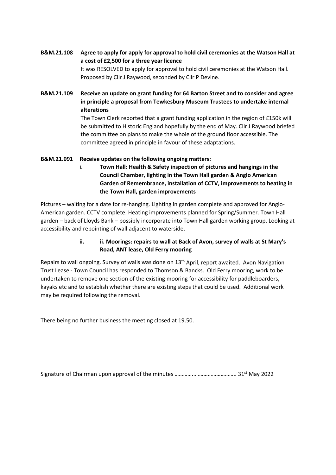- **B&M.21.108 Agree to apply for apply for approval to hold civil ceremonies at the Watson Hall at a cost of £2,500 for a three year licence** It was RESOLVED to apply for approval to hold civil ceremonies at the Watson Hall. Proposed by Cllr J Raywood, seconded by Cllr P Devine.
- **B&M.21.109 Receive an update on grant funding for 64 Barton Street and to consider and agree in principle a proposal from Tewkesbury Museum Trustees to undertake internal alterations**

The Town Clerk reported that a grant funding application in the region of £150k will be submitted to Historic England hopefully by the end of May. Cllr J Raywood briefed the committee on plans to make the whole of the ground floor accessible. The committee agreed in principle in favour of these adaptations.

### **B&M.21.091 Receive updates on the following ongoing matters:**

**i. Town Hall: Health & Safety inspection of pictures and hangings in the Council Chamber, lighting in the Town Hall garden & Anglo American Garden of Remembrance, installation of CCTV, improvements to heating in the Town Hall, garden improvements** 

Pictures – waiting for a date for re-hanging. Lighting in garden complete and approved for Anglo-American garden. CCTV complete. Heating improvements planned for Spring/Summer. Town Hall garden – back of Lloyds Bank – possibly incorporate into Town Hall garden working group. Looking at accessibility and repointing of wall adjacent to waterside.

### **ii. ii. Moorings: repairs to wall at Back of Avon, survey of walls at St Mary's Road, ANT lease, Old Ferry mooring**

Repairs to wall ongoing. Survey of walls was done on 13<sup>th</sup> April, report awaited. Avon Navigation Trust Lease - Town Council has responded to Thomson & Bancks. Old Ferry mooring, work to be undertaken to remove one section of the existing mooring for accessibility for paddleboarders, kayaks etc and to establish whether there are existing steps that could be used. Additional work may be required following the removal.

There being no further business the meeting closed at 19.50.

Signature of Chairman upon approval of the minutes …………..……………………….. 31st May 2022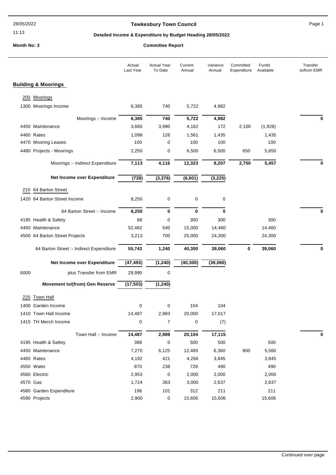#### 11:13

### **Tewkesbury Town Council Council Page 1**

### **Detailed Income & Expenditure by Budget Heading 28/05/2022**

## **Month No: 2 Committee Report**

|          |                                          | Actual<br>Last Year | <b>Actual Year</b><br>To Date | Current<br>Annual | Variance<br>Annual | Committed<br>Expenditure | Funds<br>Available | Transfer<br>to/from EMR |
|----------|------------------------------------------|---------------------|-------------------------------|-------------------|--------------------|--------------------------|--------------------|-------------------------|
|          | <b>Building &amp; Moorings</b>           |                     |                               |                   |                    |                          |                    |                         |
| 200      | Moorings                                 |                     |                               |                   |                    |                          |                    |                         |
|          | 1300 Moorings Income                     | 6,385               | 740                           | 5,722             | 4,982              |                          |                    |                         |
|          |                                          |                     |                               |                   |                    |                          |                    |                         |
|          | Moorings :- Income<br>4450 Maintenance   | 6,385<br>3,665      | 740<br>3,990                  | 5,722<br>4,162    | 4,982<br>172       | 2,100                    | (1,928)            | 0                       |
|          | 4460 Rates                               | 1,098               | 126                           | 1,561             | 1,435              |                          | 1,435              |                         |
|          | 4470 Mooring Leases                      | 100                 | 0                             | 100               | 100                |                          | 100                |                         |
|          | 4480 Projects - Moorings                 | 2,250               | 0                             | 6,500             | 6,500              | 650                      | 5,850              |                         |
|          |                                          |                     |                               |                   |                    |                          |                    |                         |
|          | Moorings :- Indirect Expenditure         | 7,113               | 4,116                         | 12,323            | 8,207              | 2,750                    | 5,457              | 0                       |
|          | Net Income over Expenditure              | (728)               | (3, 376)                      | (6, 601)          | (3, 225)           |                          |                    |                         |
|          | 210 64 Barton Street                     |                     |                               |                   |                    |                          |                    |                         |
|          | 1420 64 Barton Street Income             | 8,250               | 0                             | 0                 | 0                  |                          |                    |                         |
|          |                                          |                     |                               |                   |                    |                          |                    |                         |
|          | 64 Barton Street :- Income               | 8,250               | 0                             | 0                 | 0                  |                          |                    | 0                       |
|          | 4195 Health & Safety                     | 68                  | 0                             | 300               | 300                |                          | 300                |                         |
|          | 4450 Maintenance                         | 52,462              | 540                           | 15,000            | 14,460             |                          | 14,460             |                         |
|          | 4500 64 Barton Street Projects           | 3,213               | 700                           | 25,000            | 24,300             |                          | 24,300             |                         |
|          | 64 Barton Street :- Indirect Expenditure | 55,743              | 1,240                         | 40,300            | 39,060             | 0                        | 39,060             | 0                       |
|          | Net Income over Expenditure              | (47, 493)           | (1, 240)                      | (40, 300)         | (39,060)           |                          |                    |                         |
| 6000     | plus Transfer from EMR                   | 29,990              | 0                             |                   |                    |                          |                    |                         |
|          | <b>Movement to/(from) Gen Reserve</b>    | (17, 503)           | (1, 240)                      |                   |                    |                          |                    |                         |
| 220      | <b>Town Hall</b>                         |                     |                               |                   |                    |                          |                    |                         |
|          | 1400 Garden Income                       | 0                   | 0                             | 104               | 104                |                          |                    |                         |
|          | 1410 Town Hall Income                    | 14,487              | 2,983                         | 20,000            | 17,017             |                          |                    |                         |
|          | 1415 TH Merch Income                     | 0                   | $\overline{7}$                | 0                 | (7)                |                          |                    |                         |
|          |                                          |                     |                               |                   |                    |                          |                    |                         |
|          | Town Hall :- Income                      | 14,487<br>388       | 2,989<br>0                    | 20,104<br>500     | 17,115<br>500      |                          | 500                | 0                       |
|          | 4195 Health & Safety                     |                     |                               |                   |                    |                          |                    |                         |
|          | 4450 Maintenance                         | 7,270               | 6,125                         | 12,485            | 6,360              | 800                      | 5,560              |                         |
|          | 4460 Rates                               | 4,192               | 421                           | 4,266             | 3,845              |                          | 3,845              |                         |
|          | 4550 Water                               | 870                 | 238                           | 728               | 490                |                          | 490                |                         |
|          | 4560 Electric                            | 2,953               | 0                             | 2,000             | 2,000              |                          | 2,000              |                         |
| 4570 Gas |                                          | 1,724               | 363                           | 3,000             | 2,637              |                          | 2,637              |                         |
|          | 4580 Garden Expenditure                  | 196                 | 101                           | 312               | 211                |                          | 211                |                         |
|          | 4590 Projects                            | 2,900               | 0                             | 15,606            | 15,606             |                          | 15,606             |                         |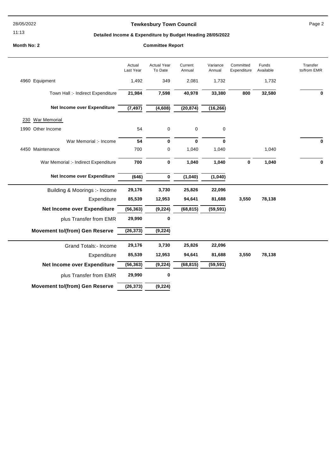28/05/2022

#### 11:13

## **Tewkesbury Town Council Page 2**

### **Detailed Income & Expenditure by Budget Heading 28/05/2022**

#### **Month No: 2**

|                                       | Actual<br>Last Year | <b>Actual Year</b><br>To Date | Current<br>Annual | Variance<br>Annual | Committed<br>Expenditure | Funds<br>Available | Transfer<br>to/from EMR |
|---------------------------------------|---------------------|-------------------------------|-------------------|--------------------|--------------------------|--------------------|-------------------------|
| 4960 Equipment                        | 1,492               | 349                           | 2,081             | 1,732              |                          | 1,732              |                         |
| Town Hall :- Indirect Expenditure     | 21,984              | 7,598                         | 40,978            | 33,380             | 800                      | 32,580             | $\bf{0}$                |
| Net Income over Expenditure           | (7, 497)            | (4,608)                       | (20, 874)         | (16, 266)          |                          |                    |                         |
| War Memorial<br>230                   |                     |                               |                   |                    |                          |                    |                         |
| 1990 Other Income                     | 54                  | 0                             | $\pmb{0}$         | 0                  |                          |                    |                         |
| War Memorial :- Income                | 54                  | $\mathbf 0$                   | $\mathbf 0$       | $\bf{0}$           |                          |                    | $\bf{0}$                |
| 4450 Maintenance                      | 700                 | 0                             | 1,040             | 1,040              |                          | 1,040              |                         |
| War Memorial :- Indirect Expenditure  | 700                 | 0                             | 1,040             | 1,040              | 0                        | 1,040              | $\bf{0}$                |
| Net Income over Expenditure           | (646)               | 0                             | (1,040)           | (1,040)            |                          |                    |                         |
| Building & Moorings :- Income         | 29,176              | 3,730                         | 25,826            | 22,096             |                          |                    |                         |
| Expenditure                           | 85,539              | 12,953                        | 94,641            | 81,688             | 3,550                    | 78,138             |                         |
| Net Income over Expenditure           | (56, 363)           | (9, 224)                      | (68, 815)         | (59, 591)          |                          |                    |                         |
| plus Transfer from EMR                | 29,990              | 0                             |                   |                    |                          |                    |                         |
| <b>Movement to/(from) Gen Reserve</b> | (26, 373)           | (9, 224)                      |                   |                    |                          |                    |                         |
| <b>Grand Totals:- Income</b>          | 29,176              | 3,730                         | 25,826            | 22,096             |                          |                    |                         |
| Expenditure                           | 85,539              | 12,953                        | 94,641            | 81,688             | 3,550                    | 78,138             |                         |
| Net Income over Expenditure           | (56, 363)           | (9, 224)                      | (68, 815)         | (59, 591)          |                          |                    |                         |
| plus Transfer from EMR                | 29,990              | 0                             |                   |                    |                          |                    |                         |
| <b>Movement to/(from) Gen Reserve</b> | (26, 373)           | (9, 224)                      |                   |                    |                          |                    |                         |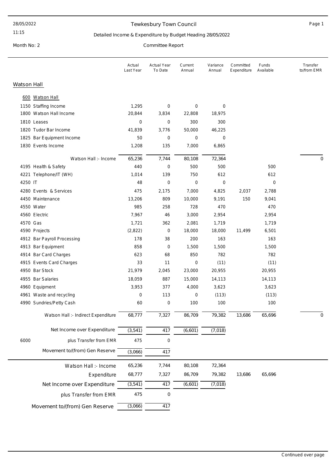#### 28/05/2022

#### 11:15

### Tewkesbury Town Council **Example 20** and the Page 1

Transfer to/from EMR

### Detailed Income & Expenditure by Budget Heading 28/05/2022

Month No: 2 Committee Report

Watson Hall

| Actual<br>Last Year | Actual Year<br>To Date | Current<br>Annual | Variance<br>Annual |
|---------------------|------------------------|-------------------|--------------------|
|                     |                        |                   |                    |
|                     |                        |                   |                    |

Committed Expenditure

Funds Available

|         | 600 Watson Hall                     |                  |             |             |                  |        |                  |                  |
|---------|-------------------------------------|------------------|-------------|-------------|------------------|--------|------------------|------------------|
|         | 1150 Staffing Income                | 1,295            | 0           | $\mathbf 0$ | 0                |        |                  |                  |
|         | 1800 Watson Hall Income             | 20,844           | 3,834       | 22,808      | 18,975           |        |                  |                  |
|         | 1810 Leases                         | $\mathbf 0$      | 0           | 300         | 300              |        |                  |                  |
|         | 1820 Tudor Bar Income               | 41,839           | 3,776       | 50,000      | 46,225           |        |                  |                  |
|         | 1825 Bar Equipment Income           | 50               | 0           | $\mathbf 0$ | $\mathbf 0$      |        |                  |                  |
|         | 1830 Events Income                  | 1,208            | 135         | 7,000       | 6,865            |        |                  |                  |
|         | Watson Hall :- Income               | 65,236           | 7,744       | 80,108      | 72,364           |        |                  | $\boldsymbol{0}$ |
|         | 4195 Health & Safety                | 440              | 0           | 500         | 500              |        | 500              |                  |
|         | 4221 Telephone/IT (WH)              | 1,014            | 139         | 750         | 612              |        | 612              |                  |
| 4250 IT |                                     | 48               | 0           | $\mathbf 0$ | $\boldsymbol{0}$ |        | $\boldsymbol{0}$ |                  |
|         | 4280 Events & Services              | 475              | 2,175       | 7,000       | 4,825            | 2,037  | 2,788            |                  |
|         | 4450 Maintenance                    | 13,206           | 809         | 10,000      | 9,191            | 150    | 9,041            |                  |
|         | 4550 Water                          | 985              | 258         | 728         | 470              |        | 470              |                  |
|         | 4560 Electric                       | 7,967            | 46          | 3,000       | 2,954            |        | 2,954            |                  |
|         | 4570 Gas                            | 1,721            | 362         | 2,081       | 1,719            |        | 1,719            |                  |
|         | 4590 Projects                       | (2,822)          | 0           | 18,000      | 18,000           | 11,499 | 6,501            |                  |
|         | 4912 Bar Payroll Processing         | 178              | 38          | 200         | 163              |        | 163              |                  |
|         | 4913 Bar Equipment                  | 858              | 0           | 1,500       | 1,500            |        | 1,500            |                  |
|         | 4914 Bar Card Charges               | 623              | 68          | 850         | 782              |        | 782              |                  |
|         | 4915 Events Card Charges            | 33               | 11          | $\mathbf 0$ | (11)             |        | (11)             |                  |
|         | 4950 Bar Stock                      | 21,979           | 2,045       | 23,000      | 20,955           |        | 20,955           |                  |
|         | 4955 Bar Salaries                   | 18,059           | 887         | 15,000      | 14,113           |        | 14,113           |                  |
|         | 4960 Equipment                      | 3,953            | 377         | 4,000       | 3,623            |        | 3,623            |                  |
|         | 4961 Waste and recycling            | $\boldsymbol{0}$ | 113         | $\mathbf 0$ | (113)            |        | (113)            |                  |
|         | 4990 Sundries/Petty Cash            | 60               | 0           | 100         | 100              |        | 100              |                  |
|         | Watson Hall :- Indirect Expenditure | 68,777           | 7,327       | 86,709      | 79,382           | 13,686 | 65,696           | 0                |
|         | Net Income over Expenditure         | (3, 541)         | 417         | (6,601)     | (7,018)          |        |                  |                  |
| 6000    | plus Transfer from EMR              | 475              | 0           |             |                  |        |                  |                  |
|         | Movement to/(from) Gen Reserve      | (3,066)          | 417         |             |                  |        |                  |                  |
|         | Watson Hall :- Income               | 65,236           | 7,744       | 80,108      | 72,364           |        |                  |                  |
|         | Expenditure                         | 68,777           | 7,327       | 86,709      | 79,382           | 13,686 | 65,696           |                  |
|         | Net Income over Expenditure         | (3, 541)         | 417         | (6,601)     | (7,018)          |        |                  |                  |
|         | plus Transfer from EMR              | 475              | $\mathbf 0$ |             |                  |        |                  |                  |
|         |                                     |                  |             |             |                  |        |                  |                  |
|         | Movement to/(from) Gen Reserve      | (3,066)          | 417         |             |                  |        |                  |                  |
|         |                                     |                  |             |             |                  |        |                  |                  |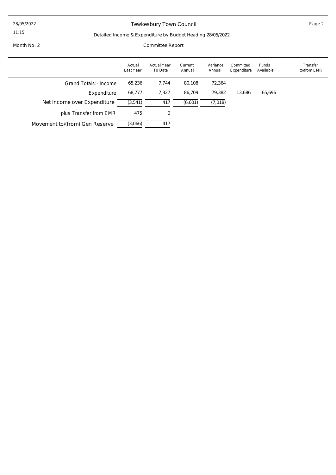#### 28/05/2022

11:15

## Tewkesbury Town Council **Example 2** Page 2

### Detailed Income & Expenditure by Budget Heading 28/05/2022

Month No: 2 Committee Report

|                                | Actual<br>Last Year | <b>Actual Year</b><br>To Date | Current<br>Annual | Variance<br>Annual | Committed<br>Expenditure | Funds<br>Available | Transfer<br>to/from EMR |
|--------------------------------|---------------------|-------------------------------|-------------------|--------------------|--------------------------|--------------------|-------------------------|
| Grand Totals: - Income         | 65,236              | 7.744                         | 80,108            | 72,364             |                          |                    |                         |
| Expenditure                    | 68,777              | 7,327                         | 86.709            | 79,382             | 13,686                   | 65,696             |                         |
| Net Income over Expenditure    | (3, 541)            | 417                           | (6,601)           | (7,018)            |                          |                    |                         |
| plus Transfer from EMR         | 475                 | 0                             |                   |                    |                          |                    |                         |
| Movement to/(from) Gen Reserve | (3,066)             | 417                           |                   |                    |                          |                    |                         |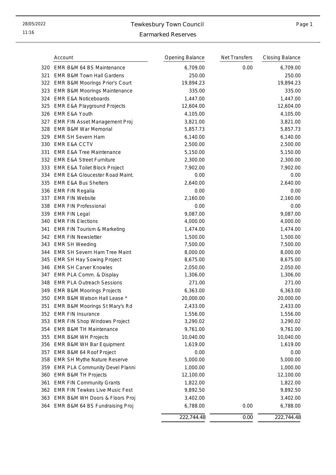11:16

## 28/05/2022 Tewkesbury Town Council

## Page 1

## Earmarked Reserves

|     | Account                                 | Opening Balance | Net Transfers | <b>Closing Balance</b> |
|-----|-----------------------------------------|-----------------|---------------|------------------------|
|     | 320 EMR B&M 64 BS Maintenance           | 6,709.00        | 0.00          | 6,709.00               |
| 321 | <b>EMR B&amp;M Town Hall Gardens</b>    | 250.00          |               | 250.00                 |
|     | 322 EMR B&M Moorings Prior's Court      | 19,894.23       |               | 19,894.23              |
| 323 | <b>EMR B&amp;M Moorings Maintenance</b> | 335.00          |               | 335.00                 |
| 324 | <b>EMR E&amp;A Noticeboards</b>         | 1,447.00        |               | 1,447.00               |
| 325 | <b>EMR E&amp;A Playground Projects</b>  | 12,604.00       |               | 12,604.00              |
| 326 | <b>EMR E&amp;A Youth</b>                | 4,105.00        |               | 4,105.00               |
| 327 | EMR FIN Asset Management Proj           | 3,821.00        |               | 3,821.00               |
| 328 | <b>EMR B&amp;M War Memorial</b>         | 5,857.73        |               | 5,857.73               |
| 329 | <b>EMR SH Severn Ham</b>                | 6,140.00        |               | 6,140.00               |
| 330 | <b>EMR E&amp;A CCTV</b>                 | 2,500.00        |               | 2,500.00               |
| 331 | <b>EMR E&amp;A Tree Maintenance</b>     | 5,150.00        |               | 5,150.00               |
|     | 332 EMR E&A Street Furniture            | 2,300.00        |               | 2,300.00               |
| 333 | <b>EMR E&amp;A Toilet Block Project</b> | 7,902.00        |               | 7,902.00               |
| 334 | EMR E&A Gloucester Road Maint.          | 0.00            |               | 0.00                   |
| 335 | <b>EMR E&amp;A Bus Shelters</b>         | 2,640.00        |               | 2,640.00               |
|     | 336 EMR FIN Regalia                     | 0.00            |               | 0.00                   |
| 337 | <b>EMR FIN Website</b>                  | 2,160.00        |               | 2,160.00               |
| 338 | <b>EMR FIN Professional</b>             | 0.00            |               | 0.00                   |
|     | 339 EMR FIN Legal                       | 9,087.00        |               | 9,087.00               |
| 340 | <b>EMR FIN Elections</b>                | 4,000.00        |               | 4,000.00               |
| 341 | <b>EMR FIN Tourism &amp; Marketing</b>  | 1,474.00        |               | 1,474.00               |
| 342 | <b>EMR FIN Newsletter</b>               | 1,500.00        |               | 1,500.00               |
| 343 | <b>EMR SH Weeding</b>                   | 7,500.00        |               | 7,500.00               |
| 344 | <b>EMR SH Severn Ham Tree Maint</b>     | 8,000.00        |               | 8,000.00               |
| 345 | <b>EMR SH Hay Sowing Project</b>        | 8,675.00        |               | 8,675.00               |
| 346 | <b>EMR SH Carver Knowles</b>            | 2,050.00        |               | 2,050.00               |
|     | 347 EMR PLA Comm. & Display             | 1,306.00        |               | 1,306.00               |
| 348 | <b>EMR PLA Outreach Sessions</b>        | 271.00          |               | 271.00                 |
| 349 | <b>EMR B&amp;M Moorings Projects</b>    | 6,363.00        |               | 6,363.00               |
|     | 350 EMR B&M Watson Hall Lease *         | 20,000.00       |               | 20,000.00              |
| 351 | EMR B&M Moorings St Mary's Rd           | 2,433.00        |               | 2,433.00               |
| 352 | <b>EMR FIN Insurance</b>                | 1,556.00        |               | 1,556.00               |
| 353 | <b>EMR FIN Shop Windows Project</b>     | 3,290.02        |               | 3,290.02               |
| 354 | <b>EMR B&amp;M TH Maintenance</b>       | 9,761.00        |               | 9,761.00               |
| 355 | <b>EMR B&amp;M WH Projects</b>          | 10,040.00       |               | 10,040.00              |
| 356 | EMR B&M WH Bar Equipment                | 1,619.00        |               | 1,619.00               |
| 357 | EMR B&M 64 Roof Project                 | 0.00            |               | 0.00                   |
| 358 | EMR SH Mythe Nature Reserve             | 5,000.00        |               | 5,000.00               |
| 359 | EMR PLA Community Devel Planni          | 1,000.00        |               | 1,000.00               |
| 360 | <b>EMR B&amp;M TH Projects</b>          | 12,100.00       |               | 12,100.00              |
| 361 | <b>EMR FIN Community Grants</b>         | 1,822.00        |               | 1,822.00               |
| 362 | <b>EMR FIN Tewkes Live Music Fest</b>   | 9,892.50        |               | 9,892.50               |
| 363 | EMR B&M WH Doors & Floors Proj          | 3,402.00        |               | 3,402.00               |
| 364 | EMR B&M 64 BS Fundraising Proj          | 6,788.00        | 0.00          | 6,788.00               |
|     |                                         | 222,744.48      | 0.00          | 222,744.48             |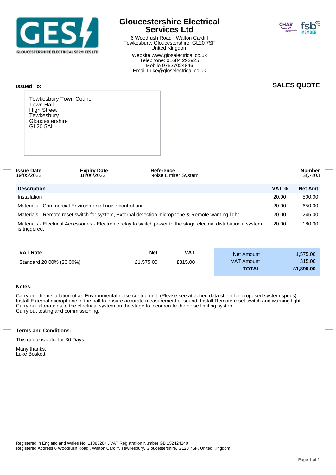

## **Gloucestershire Electrical Services Ltd**

6 Woodrush Road , Walton Cardiff Tewkesbury, Gloucestershire, GL20 7SF United Kingdom

Website www.gloselectrical.co.uk Telephone: 01684 292925 Mobile 07527024846 Email Luke@gloselectrical.co.uk



### **SALES QUOTE**

Tewkesbury Town Council Town Hall High Street **Tewkesbury** Gloucestershire GL20 5AL

**Issued To:**

| <b>Issue Date</b><br>19/05/2022 | <b>Expiry Date</b><br>18/06/2022                        | Reference<br>Noise Limiter System                                                                                   |       | <b>Number</b><br>SQ-203 |
|---------------------------------|---------------------------------------------------------|---------------------------------------------------------------------------------------------------------------------|-------|-------------------------|
| <b>Description</b>              |                                                         |                                                                                                                     | VAT % | <b>Net Amt</b>          |
| Installation                    |                                                         |                                                                                                                     | 20.00 | 500.00                  |
|                                 | Materials - Commercial Environmental noise control unit |                                                                                                                     | 20.00 | 650.00                  |
|                                 |                                                         | Materials - Remote reset switch for system, External detection microphone & Remote warning light.                   | 20.00 | 245.00                  |
| is triggered.                   |                                                         | Materials - Electrical Accessories - Electronic relay to switch power to the stage electrial distribution if system | 20.00 | 180.00                  |

| <b>VAT Rate</b>          | Net       | VAT     | Net Amount        | 1,575.00  |
|--------------------------|-----------|---------|-------------------|-----------|
| Standard 20.00% (20.00%) | £1.575.00 | £315.00 | <b>VAT Amount</b> | 315.00    |
|                          |           |         | <b>TOTAL</b>      | £1,890,00 |

#### **Notes:**

Carry out the installation of an Environmental noise control unit. (Please see attached data sheet for proposed system specs) Install External microphone in the hall to ensure accurate measurement of sound. Install Remote reset switch and warning light. Carry our alterations to the electrical system on the stage to incorporate the noise limiting system. Carry out testing and commissioning.

#### **Terms and Conditions:**

This quote is valid for 30 Days

Many thanks. Luke Boskett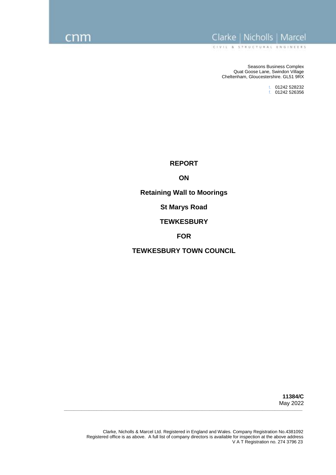## Clarke | Nicholls | Marcel

CIVIL & STRUCTURAL ENGINEERS

Seasons Business Complex Quat Goose Lane, Swindon Village Cheltenham, Gloucestershire. GL51 9RX

> t. 01242 528232 f. 01242 526356

**REPORT**

**ON**

**Retaining Wall to Moorings**

**St Marys Road** 

**TEWKESBURY**

**FOR**

**TEWKESBURY TOWN COUNCIL**

**11384/C** May 2022

**\_\_\_\_\_\_\_\_\_\_\_\_\_\_\_\_\_\_\_\_\_\_\_\_\_\_\_\_\_\_\_\_\_\_\_\_\_\_\_\_\_\_\_\_\_\_\_\_\_\_\_\_\_\_\_\_\_\_\_\_\_\_\_\_\_\_\_\_\_\_\_\_\_\_\_\_\_\_\_\_\_\_\_\_\_\_\_\_\_\_\_\_\_\_\_**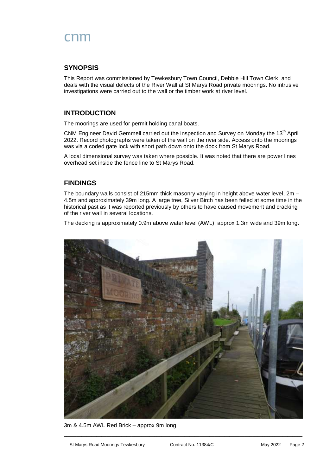## **SYNOPSIS**

This Report was commissioned by Tewkesbury Town Council, Debbie Hill Town Clerk, and deals with the visual defects of the River Wall at St Marys Road private moorings. No intrusive investigations were carried out to the wall or the timber work at river level.

## **INTRODUCTION**

The moorings are used for permit holding canal boats.

CNM Engineer David Gemmell carried out the inspection and Survey on Monday the 13<sup>th</sup> April 2022. Record photographs were taken of the wall on the river side. Access onto the moorings was via a coded gate lock with short path down onto the dock from St Marys Road.

A local dimensional survey was taken where possible. It was noted that there are power lines overhead set inside the fence line to St Marys Road.

### **FINDINGS**

The boundary walls consist of 215mm thick masonry varying in height above water level, 2m – 4.5m and approximately 39m long. A large tree, Silver Birch has been felled at some time in the historical past as it was reported previously by others to have caused movement and cracking of the river wall in several locations.

The decking is approximately 0.9m above water level (AWL), approx 1.3m wide and 39m long.



3m & 4.5m AWL Red Brick – approx 9m long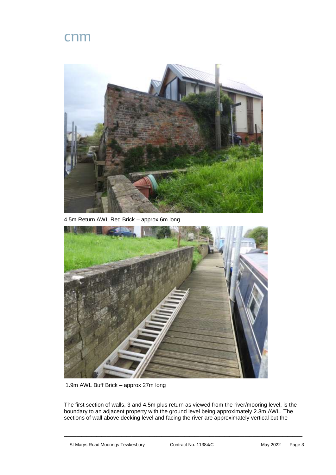

4.5m Return AWL Red Brick – approx 6m long



1.9m AWL Buff Brick – approx 27m long

The first section of walls, 3 and 4.5m plus return as viewed from the river/mooring level, is the boundary to an adjacent property with the ground level being approximately 2.3m AWL. The sections of wall above decking level and facing the river are approximately vertical but the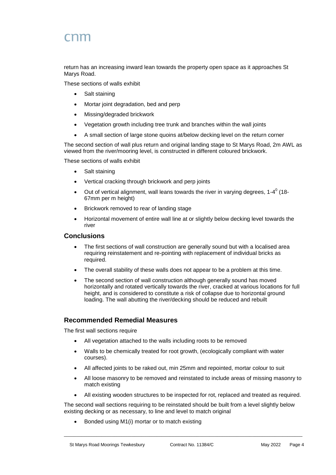# rnm

return has an increasing inward lean towards the property open space as it approaches St Marys Road.

These sections of walls exhibit

- Salt staining
- Mortar joint degradation, bed and perp
- Missing/degraded brickwork
- Vegetation growth including tree trunk and branches within the wall joints
- A small section of large stone quoins at/below decking level on the return corner

The second section of wall plus return and original landing stage to St Marys Road, 2m AWL as viewed from the river/mooring level, is constructed in different coloured brickwork.

These sections of walls exhibit

- Salt staining
- Vertical cracking through brickwork and perp joints
- Out of vertical alignment, wall leans towards the river in varying degrees, 1-4 $^0$  (18-67mm per m height)
- Brickwork removed to rear of landing stage
- Horizontal movement of entire wall line at or slightly below decking level towards the river

#### **Conclusions**

- The first sections of wall construction are generally sound but with a localised area requiring reinstatement and re-pointing with replacement of individual bricks as required.
- The overall stability of these walls does not appear to be a problem at this time.
- The second section of wall construction although generally sound has moved horizontally and rotated vertically towards the river, cracked at various locations for full height, and is considered to constitute a risk of collapse due to horizontal ground loading. The wall abutting the river/decking should be reduced and rebuilt

#### **Recommended Remedial Measures**

The first wall sections require

- All vegetation attached to the walls including roots to be removed
- Walls to be chemically treated for root growth, (ecologically compliant with water courses).
- All affected joints to be raked out, min 25mm and repointed, mortar colour to suit
- All loose masonry to be removed and reinstated to include areas of missing masonry to match existing
- All existing wooden structures to be inspected for rot, replaced and treated as required.

The second wall sections requiring to be reinstated should be built from a level slightly below existing decking or as necessary, to line and level to match original

 $\_$  , and the set of the set of the set of the set of the set of the set of the set of the set of the set of the set of the set of the set of the set of the set of the set of the set of the set of the set of the set of th

Bonded using M1(i) mortar or to match existing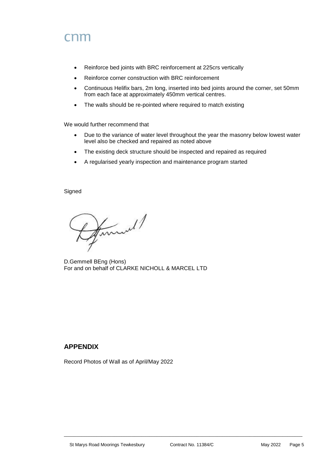# rnm

- Reinforce bed joints with BRC reinforcement at 225crs vertically
- Reinforce corner construction with BRC reinforcement
- Continuous Helifix bars, 2m long, inserted into bed joints around the corner, set 50mm from each face at approximately 450mm vertical centres.
- The walls should be re-pointed where required to match existing

We would further recommend that

- Due to the variance of water level throughout the year the masonry below lowest water level also be checked and repaired as noted above
- The existing deck structure should be inspected and repaired as required
- A regularised yearly inspection and maintenance program started

Signed

Humel/

D.Gemmell BEng (Hons) For and on behalf of CLARKE NICHOLL & MARCEL LTD

## **APPENDIX**

Record Photos of Wall as of April/May 2022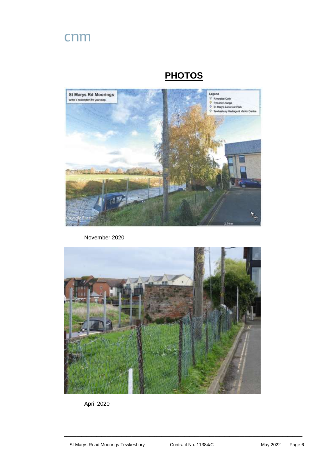## **PHOTOS**



November 2020



April 2020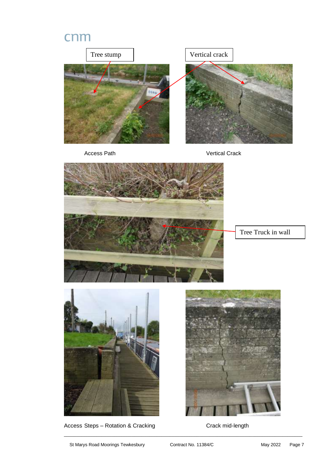

Access Steps – Rotation & Cracking Crack mid-length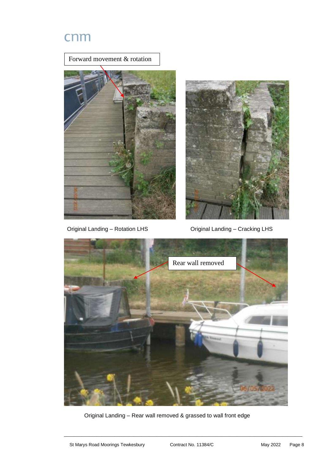





Original Landing – Rotation LHS Original Landing – Cracking LHS



Original Landing – Rear wall removed & grassed to wall front edge